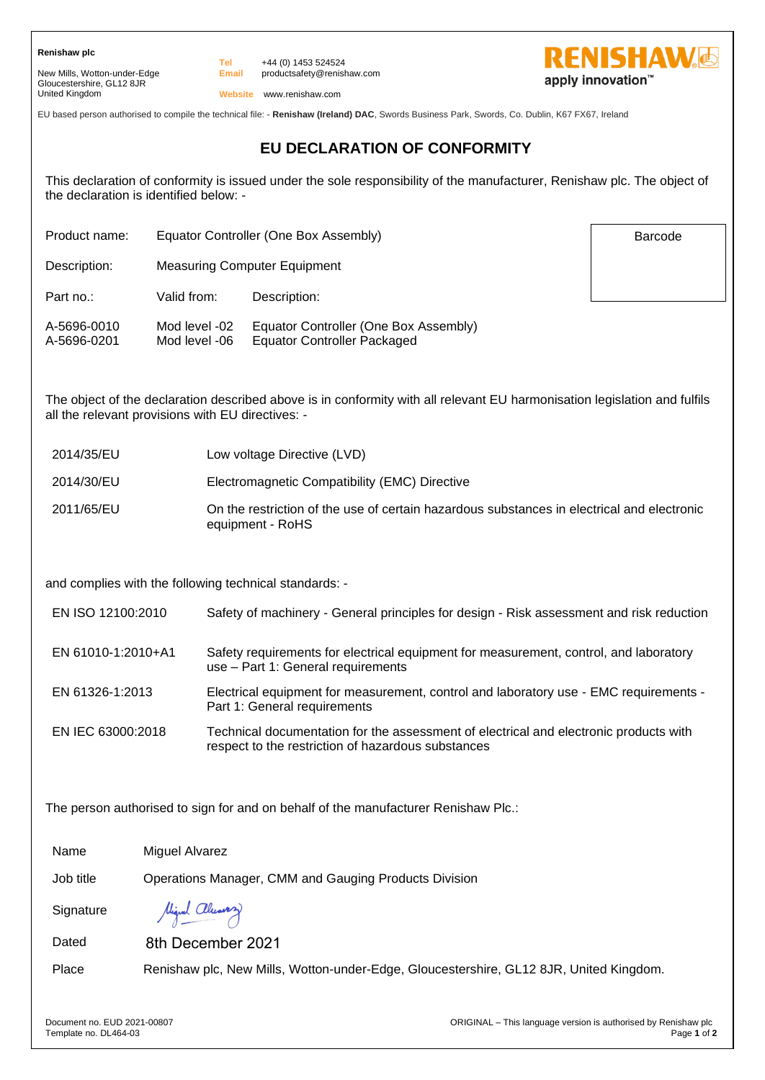New Mills, Wotton-under-Edge Gloucestershire, GL12 8JR United Kingdom

**Email** +44 (0) 1453 524524 productsafety@renishaw.com



Barcode

**Website** www.renishaw.com

EU based person authorised to compile the technical file: - **Renishaw (Ireland) DAC**, Swords Business Park, Swords, Co. Dublin, K67 FX67, Ireland

## **EU DECLARATION OF CONFORMITY**

This declaration of conformity is issued under the sole responsibility of the manufacturer, Renishaw plc. The object of the declaration is identified below: -

Product name: Equator Controller (One Box Assembly)

**Tel**

Description: Measuring Computer Equipment

Part no.: Valid from: Description:

| A-5696-0010 | Mod level -02 | Equator Controller (One Box Assembly) |
|-------------|---------------|---------------------------------------|
| A-5696-0201 | Mod level -06 | Equator Controller Packaged           |

The object of the declaration described above is in conformity with all relevant EU harmonisation legislation and fulfils all the relevant provisions with EU directives: -

- 2014/35/EU Low voltage Directive (LVD)
- 2014/30/EU Electromagnetic Compatibility (EMC) Directive
- 2011/65/EU On the restriction of the use of certain hazardous substances in electrical and electronic equipment - RoHS

and complies with the following technical standards: -

EN ISO 12100:2010 Safety of machinery - General principles for design - Risk assessment and risk reduction

- EN 61010-1:2010+A1 Safety requirements for electrical equipment for measurement, control, and laboratory use – Part 1: General requirements
- EN 61326-1:2013 Electrical equipment for measurement, control and laboratory use EMC requirements Part 1: General requirements
- EN IEC 63000:2018 Technical documentation for the assessment of electrical and electronic products with respect to the restriction of hazardous substances

The person authorised to sign for and on behalf of the manufacturer Renishaw Plc.:

Name Miguel Alvarez

Job title Operations Manager, CMM and Gauging Products Division

**Signature** 

Migral almoston

Dated 8th December 2021

Place Renishaw plc, New Mills, Wotton-under-Edge, Gloucestershire, GL12 8JR, United Kingdom.